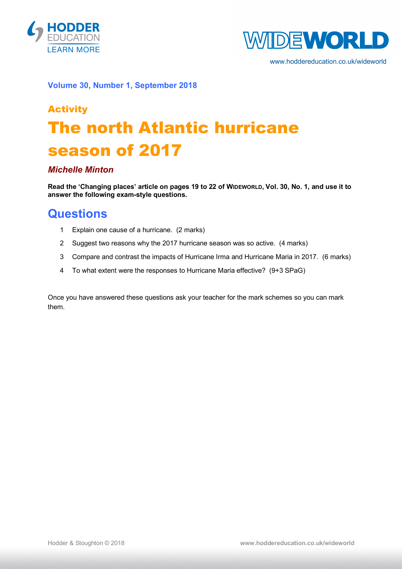



www.hoddereducation.co.uk/wideworld

#### **Volume 30, Number 1, September 2018**

# **Activity** The north Atlantic hurricane season of 2017

#### *Michelle Minton*

**Read the 'Changing places' article on pages 19 to 22 of WIDEWORLD, Vol. 30, No. 1, and use it to answer the following exam-style questions.**

### **Questions**

- 1 Explain one cause of a hurricane. (2 marks)
- 2 Suggest two reasons why the 2017 hurricane season was so active. (4 marks)
- 3 Compare and contrast the impacts of Hurricane Irma and Hurricane Maria in 2017. (6 marks)
- 4 To what extent were the responses to Hurricane Maria effective? (9+3 SPaG)

Once you have answered these questions ask your teacher for the mark schemes so you can mark them.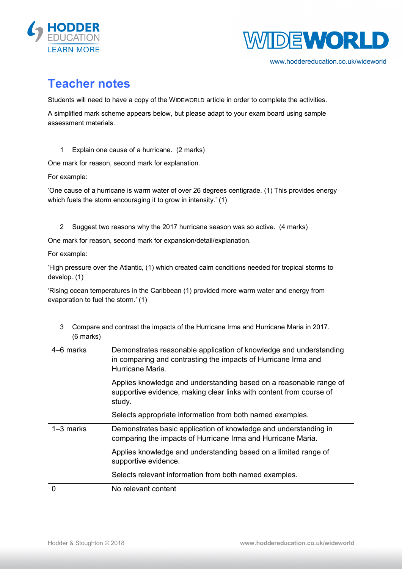



www.hoddereducation.co.uk/wideworld

## **Teacher notes**

Students will need to have a copy of the WIDEWORLD article in order to complete the activities.

A simplified mark scheme appears below, but please adapt to your exam board using sample assessment materials.

1 Explain one cause of a hurricane. (2 marks)

One mark for reason, second mark for explanation.

For example:

'One cause of a hurricane is warm water of over 26 degrees centigrade. (1) This provides energy which fuels the storm encouraging it to grow in intensity.' (1)

2 Suggest two reasons why the 2017 hurricane season was so active. (4 marks)

One mark for reason, second mark for expansion/detail/explanation.

For example:

'High pressure over the Atlantic, (1) which created calm conditions needed for tropical storms to develop. (1)

'Rising ocean temperatures in the Caribbean (1) provided more warm water and energy from evaporation to fuel the storm.' (1)

3 Compare and contrast the impacts of the Hurricane Irma and Hurricane Maria in 2017. (6 marks)

| 4–6 marks   | Demonstrates reasonable application of knowledge and understanding<br>in comparing and contrasting the impacts of Hurricane Irma and<br>Hurricane Maria. |
|-------------|----------------------------------------------------------------------------------------------------------------------------------------------------------|
|             | Applies knowledge and understanding based on a reasonable range of<br>supportive evidence, making clear links with content from course of<br>study.      |
|             | Selects appropriate information from both named examples.                                                                                                |
| $1-3$ marks | Demonstrates basic application of knowledge and understanding in<br>comparing the impacts of Hurricane Irma and Hurricane Maria.                         |
|             | Applies knowledge and understanding based on a limited range of<br>supportive evidence.                                                                  |
|             | Selects relevant information from both named examples.                                                                                                   |
| 0           | No relevant content                                                                                                                                      |